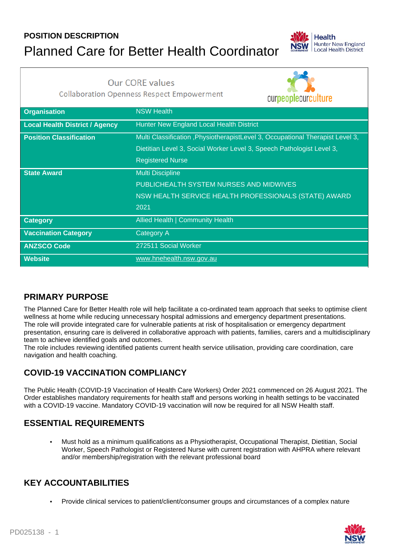# **POSITION DESCRIPTION** Planned Care for Better Health Coordinator



**Our CORE values** 

**Collaboration Openness Respect Empowerment** 

ourpeopleourculture **Organisation** NSW Health **Local Health District / Agency** Hunter New England Local Health District **Position Classification** Multi Classification ,PhysiotherapistLevel 3, Occupational Therapist Level 3, Dietitian Level 3, Social Worker Level 3, Speech Pathologist Level 3, Registered Nurse **State Award** Multi Discipline PUBLICHEALTH SYSTEM NURSES AND MIDWIVES NSW HEALTH SERVICE HEALTH PROFESSIONALS (STATE) AWARD 2021 **Category Category Allied Health | Community Health Vaccination Category** Category A **ANZSCO Code** 272511 Social Worker **Website** www.hnehealth.nsw.gov.au

#### **PRIMARY PURPOSE**

The Planned Care for Better Health role will help facilitate a co-ordinated team approach that seeks to optimise client wellness at home while reducing unnecessary hospital admissions and emergency department presentations. The role will provide integrated care for vulnerable patients at risk of hospitalisation or emergency department presentation, ensuring care is delivered in collaborative approach with patients, families, carers and a multidisciplinary team to achieve identified goals and outcomes.

The role includes reviewing identified patients current health service utilisation, providing care coordination, care navigation and health coaching.

## **COVID-19 VACCINATION COMPLIANCY**

The Public Health (COVID-19 Vaccination of Health Care Workers) Order 2021 commenced on 26 August 2021. The Order establishes mandatory requirements for health staff and persons working in health settings to be vaccinated with a COVID-19 vaccine. Mandatory COVID-19 vaccination will now be required for all NSW Health staff.

### **ESSENTIAL REQUIREMENTS**

• Must hold as a minimum qualifications as a Physiotherapist, Occupational Therapist, Dietitian, Social Worker, Speech Pathologist or Registered Nurse with current registration with AHPRA where relevant and/or membership/registration with the relevant professional board

### **KEY ACCOUNTABILITIES**

• Provide clinical services to patient/client/consumer groups and circumstances of a complex nature

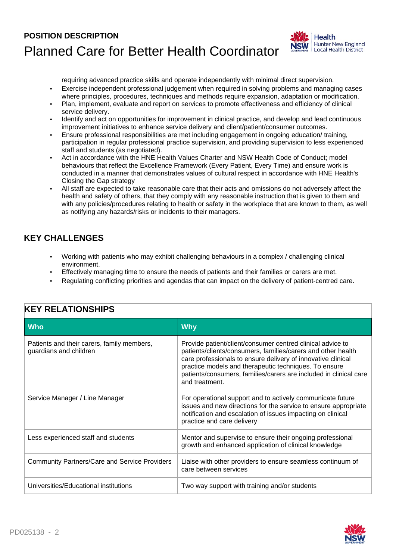## **POSITION DESCRIPTION** Planned Care for Better Health Coordinator



requiring advanced practice skills and operate independently with minimal direct supervision. • Exercise independent professional judgement when required in solving problems and managing cases

- where principles, procedures, techniques and methods require expansion, adaptation or modification. • Plan, implement, evaluate and report on services to promote effectiveness and efficiency of clinical service delivery.
- Identify and act on opportunities for improvement in clinical practice, and develop and lead continuous improvement initiatives to enhance service delivery and client/patient/consumer outcomes.
- Ensure professional responsibilities are met including engagement in ongoing education/ training, participation in regular professional practice supervision, and providing supervision to less experienced staff and students (as negotiated).
- Act in accordance with the HNE Health Values Charter and NSW Health Code of Conduct; model behaviours that reflect the Excellence Framework (Every Patient, Every Time) and ensure work is conducted in a manner that demonstrates values of cultural respect in accordance with HNE Health's Closing the Gap strategy
- All staff are expected to take reasonable care that their acts and omissions do not adversely affect the health and safety of others, that they comply with any reasonable instruction that is given to them and with any policies/procedures relating to health or safety in the workplace that are known to them, as well as notifying any hazards/risks or incidents to their managers.

#### **KEY CHALLENGES**

- Working with patients who may exhibit challenging behaviours in a complex / challenging clinical environment.
- Effectively managing time to ensure the needs of patients and their families or carers are met.
- Regulating conflicting priorities and agendas that can impact on the delivery of patient-centred care.

| Who                                                                  | <b>Why</b>                                                                                                                                                                                                                                                                                                                                 |
|----------------------------------------------------------------------|--------------------------------------------------------------------------------------------------------------------------------------------------------------------------------------------------------------------------------------------------------------------------------------------------------------------------------------------|
| Patients and their carers, family members,<br>guardians and children | Provide patient/client/consumer centred clinical advice to<br>patients/clients/consumers, families/carers and other health<br>care professionals to ensure delivery of innovative clinical<br>practice models and therapeutic techniques. To ensure<br>patients/consumers, families/carers are included in clinical care<br>and treatment. |
| Service Manager / Line Manager                                       | For operational support and to actively communicate future<br>issues and new directions for the service to ensure appropriate<br>notification and escalation of issues impacting on clinical<br>practice and care delivery                                                                                                                 |
| Less experienced staff and students                                  | Mentor and supervise to ensure their ongoing professional<br>growth and enhanced application of clinical knowledge                                                                                                                                                                                                                         |
| <b>Community Partners/Care and Service Providers</b>                 | Liaise with other providers to ensure seamless continuum of<br>care between services                                                                                                                                                                                                                                                       |
| Universities/Educational institutions                                | Two way support with training and/or students                                                                                                                                                                                                                                                                                              |

#### **KEY RELATIONSHIPS**